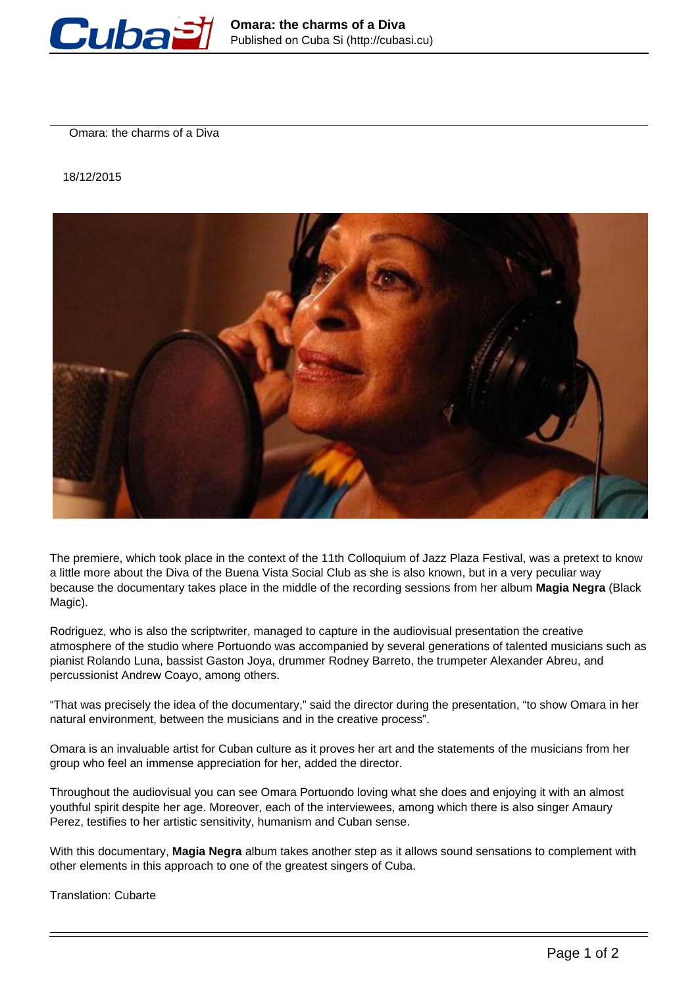

Omara: the charms of a Diva

18/12/2015



The premiere, which took place in the context of the 11th Colloquium of Jazz Plaza Festival, was a pretext to know a little more about the Diva of the Buena Vista Social Club as she is also known, but in a very peculiar way because the documentary takes place in the middle of the recording sessions from her album **Magia Negra** (Black Magic).

Rodriguez, who is also the scriptwriter, managed to capture in the audiovisual presentation the creative atmosphere of the studio where Portuondo was accompanied by several generations of talented musicians such as pianist Rolando Luna, bassist Gaston Joya, drummer Rodney Barreto, the trumpeter Alexander Abreu, and percussionist Andrew Coayo, among others.

"That was precisely the idea of the documentary," said the director during the presentation, "to show Omara in her natural environment, between the musicians and in the creative process".

Omara is an invaluable artist for Cuban culture as it proves her art and the statements of the musicians from her group who feel an immense appreciation for her, added the director.

Throughout the audiovisual you can see Omara Portuondo loving what she does and enjoying it with an almost youthful spirit despite her age. Moreover, each of the interviewees, among which there is also singer Amaury Perez, testifies to her artistic sensitivity, humanism and Cuban sense.

With this documentary, **Magia Negra** album takes another step as it allows sound sensations to complement with other elements in this approach to one of the greatest singers of Cuba.

Translation: Cubarte